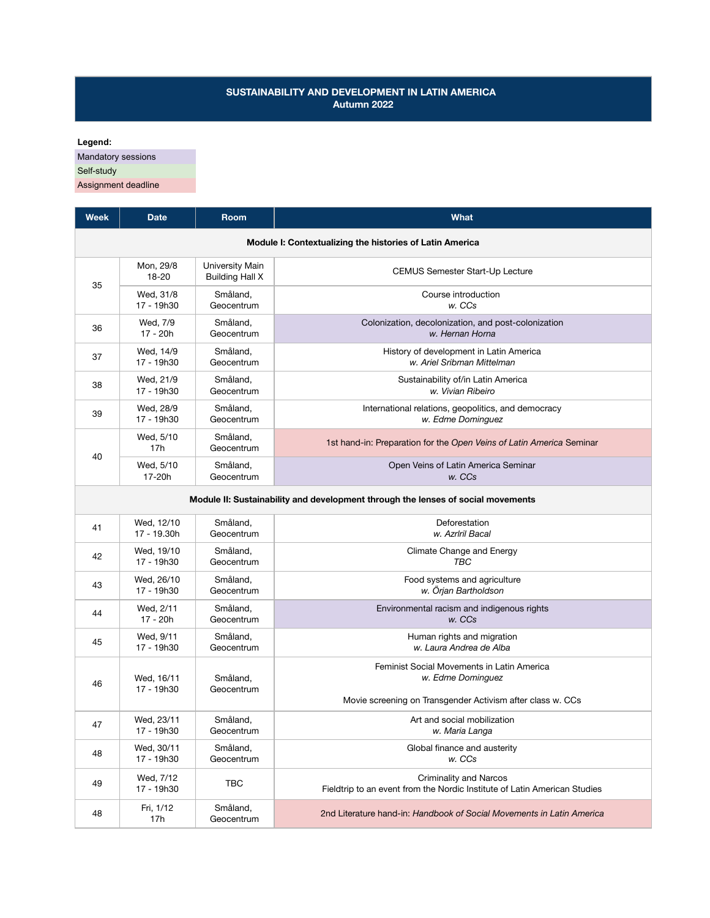## **SUSTAINABILITY AND DEVELOPMENT IN LATIN AMERICA Autumn 2022**

**Legend:**

Mandatory sessions

Self-study

Assignment deadline

| Week                                                                             | <b>Date</b>             | <b>Room</b>                               | <b>What</b>                                                                                                |  |
|----------------------------------------------------------------------------------|-------------------------|-------------------------------------------|------------------------------------------------------------------------------------------------------------|--|
| Module I: Contextualizing the histories of Latin America                         |                         |                                           |                                                                                                            |  |
| 35                                                                               | Mon, 29/8<br>18-20      | University Main<br><b>Building Hall X</b> | CEMUS Semester Start-Up Lecture                                                                            |  |
|                                                                                  | Wed, 31/8<br>17 - 19h30 | Småland,<br>Geocentrum                    | Course introduction<br>w. CCs                                                                              |  |
| 36                                                                               | Wed, 7/9                | Småland,                                  | Colonization, decolonization, and post-colonization                                                        |  |
|                                                                                  | 17 - 20h                | Geocentrum                                | w. Hernan Horna                                                                                            |  |
| 37                                                                               | Wed, 14/9               | Småland,                                  | History of development in Latin America                                                                    |  |
|                                                                                  | 17 - 19h30              | Geocentrum                                | w. Ariel Sribman Mittelman                                                                                 |  |
| 38                                                                               | Wed, 21/9               | Småland,                                  | Sustainability of/in Latin America                                                                         |  |
|                                                                                  | 17 - 19h30              | Geocentrum                                | w. Vivian Ribeiro                                                                                          |  |
| 39                                                                               | Wed, 28/9               | Småland,                                  | International relations, geopolitics, and democracy                                                        |  |
|                                                                                  | 17 - 19h30              | Geocentrum                                | w. Edme Dominguez                                                                                          |  |
| 40                                                                               | Wed, 5/10<br>17h        | Småland,<br>Geocentrum                    | 1st hand-in: Preparation for the Open Veins of Latin America Seminar                                       |  |
|                                                                                  | Wed, 5/10<br>17-20h     | Småland,<br>Geocentrum                    | Open Veins of Latin America Seminar<br>w. CCs                                                              |  |
| Module II: Sustainability and development through the lenses of social movements |                         |                                           |                                                                                                            |  |
| 41                                                                               | Wed, 12/10              | Småland,                                  | Deforestation                                                                                              |  |
|                                                                                  | 17 - 19.30h             | Geocentrum                                | w. Azrlril Bacal                                                                                           |  |
| 42                                                                               | Wed, 19/10              | Småland,                                  | Climate Change and Energy                                                                                  |  |
|                                                                                  | 17 - 19h30              | Geocentrum                                | TBC                                                                                                        |  |
| 43                                                                               | Wed, 26/10              | Småland,                                  | Food systems and agriculture                                                                               |  |
|                                                                                  | 17 - 19h30              | Geocentrum                                | w. Örjan Bartholdson                                                                                       |  |
| 44                                                                               | Wed, 2/11               | Småland,                                  | Environmental racism and indigenous rights                                                                 |  |
|                                                                                  | 17 - 20h                | Geocentrum                                | w. CCs                                                                                                     |  |
| 45                                                                               | Wed, 9/11               | Småland,                                  | Human rights and migration                                                                                 |  |
|                                                                                  | 17 - 19h30              | Geocentrum                                | w. Laura Andrea de Alba                                                                                    |  |
| 46                                                                               | Wed, 16/11              | Småland,                                  | Feminist Social Movements in Latin America                                                                 |  |
|                                                                                  | 17 - 19h30              | Geocentrum                                | w. Edme Dominguez                                                                                          |  |
|                                                                                  | Wed, 23/11              | Småland,                                  | Movie screening on Transgender Activism after class w. CCs<br>Art and social mobilization                  |  |
| 47                                                                               | 17 - 19h30              | Geocentrum                                | w. Maria Langa                                                                                             |  |
| 48                                                                               | Wed, 30/11              | Småland,                                  | Global finance and austerity                                                                               |  |
|                                                                                  | 17 - 19h30              | Geocentrum                                | w. CCs                                                                                                     |  |
| 49                                                                               | Wed, 7/12<br>17 - 19h30 | <b>TBC</b>                                | <b>Criminality and Narcos</b><br>Fieldtrip to an event from the Nordic Institute of Latin American Studies |  |
| 48                                                                               | Fri, 1/12<br>17h        | Småland,<br>Geocentrum                    | 2nd Literature hand-in: Handbook of Social Movements in Latin America                                      |  |